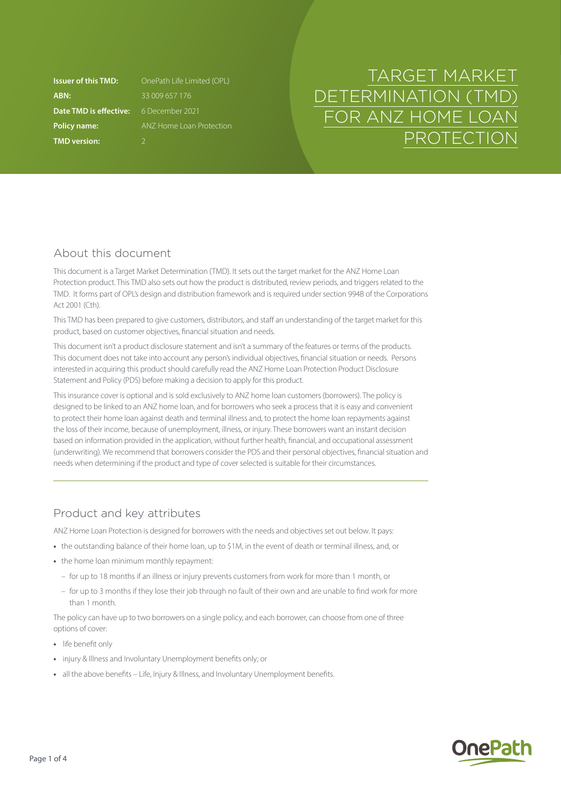**ABN:** 33 009 657 176 **Date TMD is effective:** 6 December 2021 **TMD version:** 2

**Issuer of this TMD:** OnePath Life Limited (OPL) **Policy name: ANZ Home Loan Protection** 

# TARGET MARKET DETERMINATION (TMD) FOR ANZ HOME LOAN PROTECTION

# About this document

This document is a Target Market Determination (TMD). It sets out the target market for the ANZ Home Loan Protection product. This TMD also sets out how the product is distributed, review periods, and triggers related to the TMD. It forms part of OPL's design and distribution framework and is required under section 994B of the Corporations Act 2001 (Cth).

This TMD has been prepared to give customers, distributors, and staff an understanding of the target market for this product, based on customer objectives, financial situation and needs.

This document isn't a product disclosure statement and isn't a summary of the features or terms of the products. This document does not take into account any person's individual objectives, financial situation or needs. Persons interested in acquiring this product should carefully read the ANZ Home Loan Protection Product Disclosure Statement and Policy (PDS) before making a decision to apply for this product.

This insurance cover is optional and is sold exclusively to ANZ home loan customers (borrowers). The policy is designed to be linked to an ANZ home loan, and for borrowers who seek a process that it is easy and convenient to protect their home loan against death and terminal illness and, to protect the home loan repayments against the loss of their income, because of unemployment, illness, or injury. These borrowers want an instant decision based on information provided in the application, without further health, financial, and occupational assessment (underwriting). We recommend that borrowers consider the PDS and their personal objectives, financial situation and needs when determining if the product and type of cover selected is suitable for their circumstances.

# Product and key attributes

ANZ Home Loan Protection is designed for borrowers with the needs and objectives set out below. It pays:

- **•** the outstanding balance of their home loan, up to \$1M, in the event of death or terminal illness, and, or
- **•** the home loan minimum monthly repayment:
	- for up to 18 months if an illness or injury prevents customers from work for more than 1 month, or
	- for up to 3 months if they lose their job through no fault of their own and are unable to find work for more than 1 month.

The policy can have up to two borrowers on a single policy, and each borrower, can choose from one of three options of cover:

- **•** life benefit only
- **•** injury & Illness and Involuntary Unemployment benefits only; or
- **•** all the above benefits Life, Injury & Illness, and Involuntary Unemployment benefits.

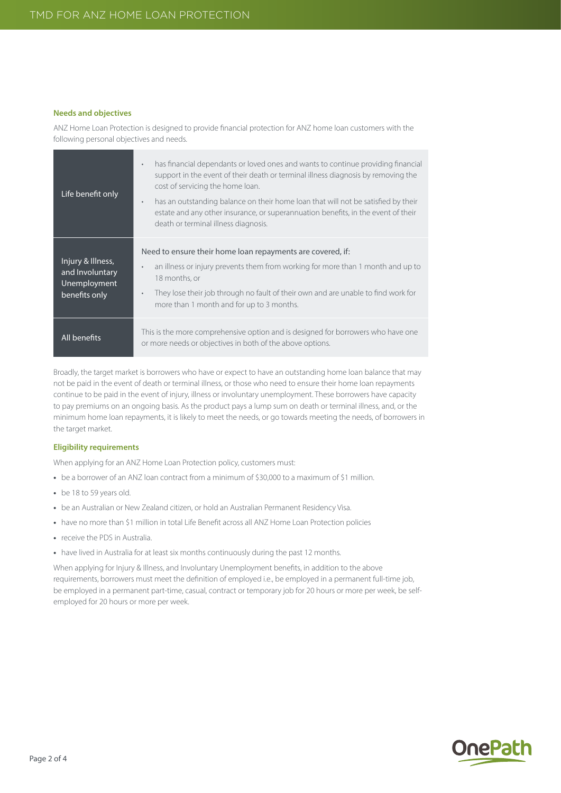#### **Needs and objectives**

ANZ Home Loan Protection is designed to provide financial protection for ANZ home loan customers with the following personal objectives and needs.

| Life benefit only                                                     | has financial dependants or loved ones and wants to continue providing financial<br>$\bullet$<br>support in the event of their death or terminal illness diagnosis by removing the<br>cost of servicing the home loan.<br>has an outstanding balance on their home loan that will not be satisfied by their<br>$\bullet$<br>estate and any other insurance, or superannuation benefits, in the event of their<br>death or terminal illness diagnosis. |
|-----------------------------------------------------------------------|-------------------------------------------------------------------------------------------------------------------------------------------------------------------------------------------------------------------------------------------------------------------------------------------------------------------------------------------------------------------------------------------------------------------------------------------------------|
| Injury & Illness,<br>and Involuntary<br>Unemployment<br>benefits only | Need to ensure their home loan repayments are covered, if:<br>an illness or injury prevents them from working for more than 1 month and up to<br>$\bullet$<br>18 months, or<br>They lose their job through no fault of their own and are unable to find work for<br>$\bullet$<br>more than 1 month and for up to 3 months.                                                                                                                            |
| All benefits                                                          | This is the more comprehensive option and is designed for borrowers who have one<br>or more needs or objectives in both of the above options.                                                                                                                                                                                                                                                                                                         |

Broadly, the target market is borrowers who have or expect to have an outstanding home loan balance that may not be paid in the event of death or terminal illness, or those who need to ensure their home loan repayments continue to be paid in the event of injury, illness or involuntary unemployment. These borrowers have capacity to pay premiums on an ongoing basis. As the product pays a lump sum on death or terminal illness, and, or the minimum home loan repayments, it is likely to meet the needs, or go towards meeting the needs, of borrowers in the target market.

## **Eligibility requirements**

When applying for an ANZ Home Loan Protection policy, customers must:

- be a borrower of an ANZ loan contract from a minimum of \$30,000 to a maximum of \$1 million.
- **•** be 18 to 59 years old.
- **•** be an Australian or New Zealand citizen, or hold an Australian Permanent Residency Visa.
- have no more than \$1 million in total Life Benefit across all ANZ Home Loan Protection policies
- **•** receive the PDS in Australia.
- **•** have lived in Australia for at least six months continuously during the past 12 months.

When applying for Injury & Illness, and Involuntary Unemployment benefits, in addition to the above requirements, borrowers must meet the definition of employed i.e., be employed in a permanent full-time job, be employed in a permanent part-time, casual, contract or temporary job for 20 hours or more per week, be selfemployed for 20 hours or more per week.

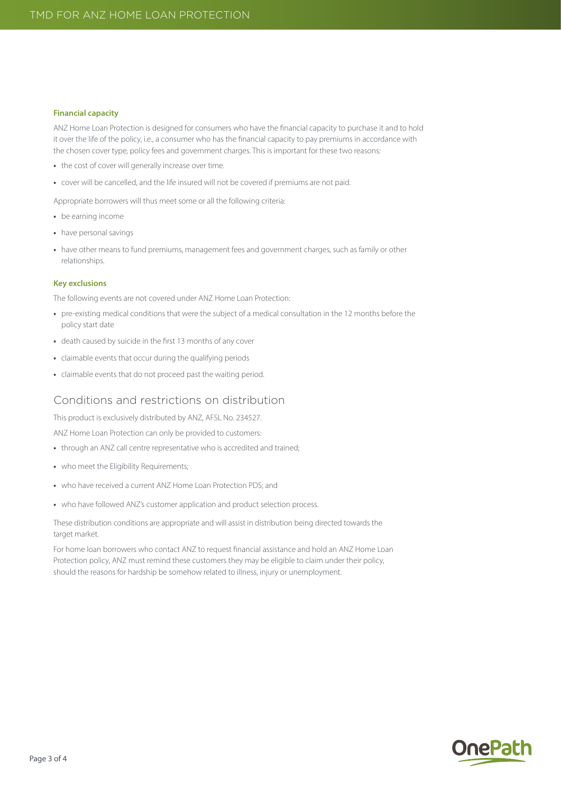#### **Financial capacity**

ANZ Home Loan Protection is designed for consumers who have the financial capacity to purchase it and to hold it over the life of the policy, i.e., a consumer who has the financial capacity to pay premiums in accordance with the chosen cover type, policy fees and government charges. This is important for these two reasons:

- **•** the cost of cover will generally increase over time.
- **•** cover will be cancelled, and the life insured will not be covered if premiums are not paid.

Appropriate borrowers will thus meet some or all the following criteria:

- **•** be earning income
- **•** have personal savings
- **•** have other means to fund premiums, management fees and government charges, such as family or other relationships.

## **Key exclusions**

The following events are not covered under ANZ Home Loan Protection:

- **•** pre-existing medical conditions that were the subject of a medical consultation in the 12 months before the policy start date
- **•** death caused by suicide in the first 13 months of any cover
- **•** claimable events that occur during the qualifying periods
- **•** claimable events that do not proceed past the waiting period.

## Conditions and restrictions on distribution

This product is exclusively distributed by ANZ, AFSL No. 234527.

ANZ Home Loan Protection can only be provided to customers:

- **•** through an ANZ call centre representative who is accredited and trained;
- **•** who meet the Eligibility Requirements;
- **•** who have received a current ANZ Home Loan Protection PDS; and
- **•** who have followed ANZ's customer application and product selection process.

These distribution conditions are appropriate and will assist in distribution being directed towards the target market.

For home loan borrowers who contact ANZ to request financial assistance and hold an ANZ Home Loan Protection policy, ANZ must remind these customers they may be eligible to claim under their policy, should the reasons for hardship be somehow related to illness, injury or unemployment.